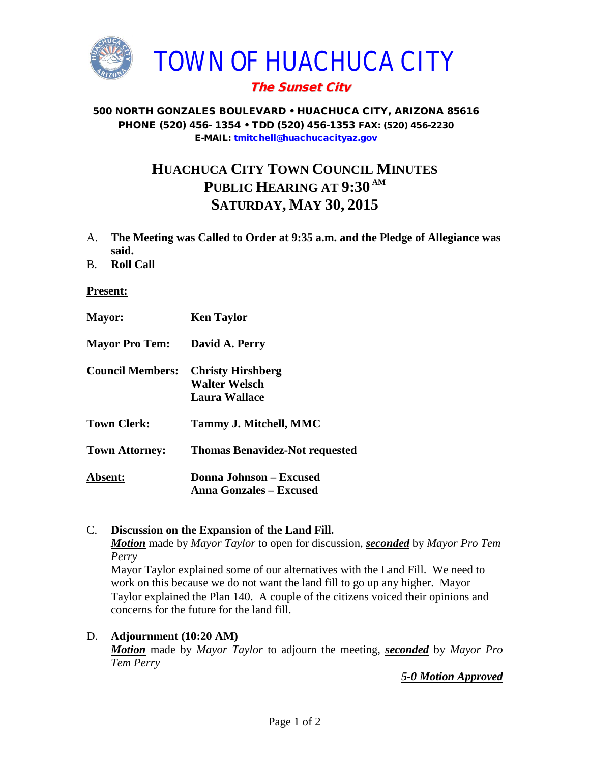

# The Sunset City

#### 500 NORTH GONZALES BOULEVARD • HUACHUCA CITY, ARIZONA 85616 PHONE (520) 456- 1354 • TDD (520) 456-1353 FAX: (520) 456-2230 E-MAIL: [tmitchell@huachucacityaz.gov](mailto:tmitchell@huachucacityaz.gov)

# **HUACHUCA CITY TOWN COUNCIL MINUTES PUBLIC HEARING AT 9:30 AM SATURDAY, MAY 30, 2015**

- A. **The Meeting was Called to Order at 9:35 a.m. and the Pledge of Allegiance was said.**
- B. **Roll Call**

#### **Present:**

| <b>Mayor:</b>           | <b>Ken Taylor</b>                                  |
|-------------------------|----------------------------------------------------|
| <b>Mayor Pro Tem:</b>   | David A. Perry                                     |
| <b>Council Members:</b> | <b>Christy Hirshberg</b><br>Walter Welsch          |
|                         | Laura Wallace                                      |
| <b>Town Clerk:</b>      | Tammy J. Mitchell, MMC                             |
| <b>Town Attorney:</b>   | <b>Thomas Benavidez-Not requested</b>              |
| Absent:                 | Donna Johnson – Excused<br>Anna Gonzales – Excused |

#### C. **Discussion on the Expansion of the Land Fill.**

*Motion* made by *Mayor Taylor* to open for discussion, *seconded* by *Mayor Pro Tem Perry*

Mayor Taylor explained some of our alternatives with the Land Fill. We need to work on this because we do not want the land fill to go up any higher. Mayor Taylor explained the Plan 140. A couple of the citizens voiced their opinions and concerns for the future for the land fill.

### D. **Adjournment (10:20 AM)**

*Motion* made by *Mayor Taylor* to adjourn the meeting, *seconded* by *Mayor Pro Tem Perry*

*5-0 Motion Approved*